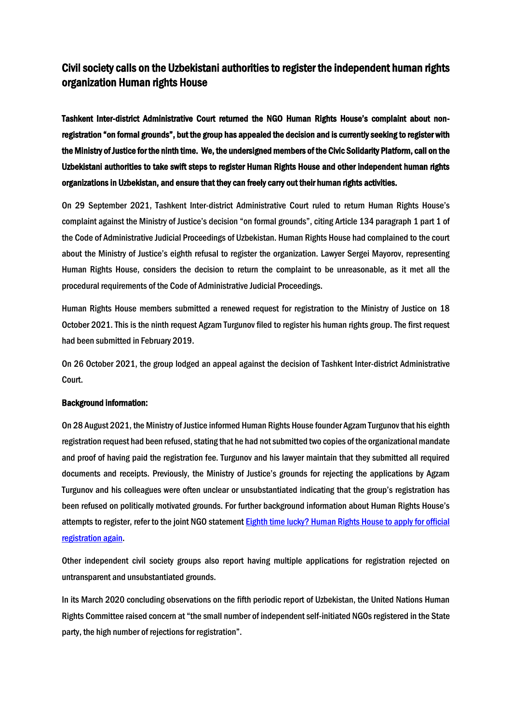## Civil society calls on the Uzbekistani authorities to register the independent human rights organization Human rights House

Tashkent Inter-district Administrative Court returned the NGO Human Rights House's complaint about nonregistration "on formal grounds", but the group has appealed the decision and is currently seeking to register with the Ministry of Justice for the ninth time. We, the undersigned members of the Civic Solidarity Platform, call on the Uzbekistani authorities to take swift steps to register Human Rights House and other independent human rights organizations in Uzbekistan, and ensure that they can freely carry out their human rights activities.

On 29 September 2021, Tashkent Inter-district Administrative Court ruled to return Human Rights House's complaint against the Ministry of Justice's decision "on formal grounds", citing Article 134 paragraph 1 part 1 of the Code of Administrative Judicial Proceedings of Uzbekistan. Human Rights House had complained to the court about the Ministry of Justice's eighth refusal to register the organization. Lawyer Sergei Mayorov, representing Human Rights House, considers the decision to return the complaint to be unreasonable, as it met all the procedural requirements of the Code of Administrative Judicial Proceedings.

Human Rights House members submitted a renewed request for registration to the Ministry of Justice on 18 October 2021. This is the ninth request Agzam Turgunov filed to register his human rights group. The first request had been submitted in February 2019.

On 26 October 2021, the group lodged an appeal against the decision of Tashkent Inter-district Administrative Court.

## Background information:

On 28 August 2021, the Ministry of Justice informed Human Rights House founder Agzam Turgunov that his eighth registration request had been refused, stating that he had not submitted two copies of the organizational mandate and proof of having paid the registration fee. Turgunov and his lawyer maintain that they submitted all required documents and receipts. Previously, the Ministry of Justice's grounds for rejecting the applications by Agzam Turgunov and his colleagues were often unclear or unsubstantiated indicating that the group's registration has been refused on politically motivated grounds. For further background information about Human Rights House's attempts to register, refer to the joint NGO statement [Eighth time lucky? Human Rights House to apply for official](https://www.iphronline.org/wp-content/uploads/2021/06/Turgunov-2.pdf)  [registration again.](https://www.iphronline.org/wp-content/uploads/2021/06/Turgunov-2.pdf)

Other independent civil society groups also report having multiple applications for registration rejected on untransparent and unsubstantiated grounds.

In its March 2020 concluding observations on the fifth periodic report of Uzbekistan, the United Nations Human Rights Committee raised concern at "the small number of independent self-initiated NGOs registered in the State party, the high number of rejections for registration".